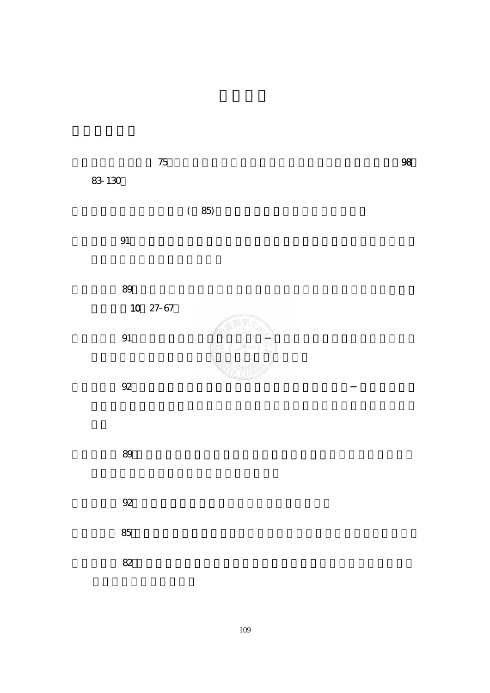$75$  300  $75$ 

83-130。

 $(85)$ 

 $\mathfrak A$ 

 $89$ 

10, 27-67  $91$  and  $\mathbb{C}^{\infty}$  (see ). We have a set of  $\mathbb{R}^{\infty}$  $\mathbb{R}^n \setminus \mathbb{R}^n$  $92$ 

 $89$ 

邱皓政(民 92)。結構方程模式。台北:雙葉書廊有限公司。

 $85$ 

 $82$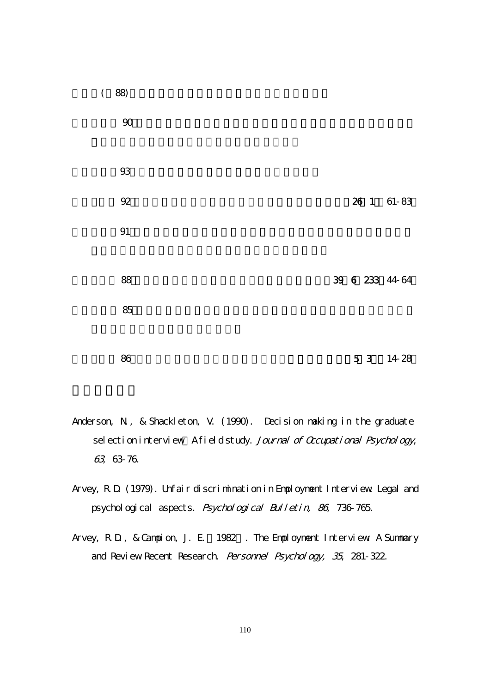

- Anderson, N., & Shackleton, V. (1990). Decision making in the graduate sel ection interview A field study. Journal of Occupational Psychology, 63, 63-76.
- Arvey, R.D. (1979). Unfair discrimination in Employment Interview: Legal and psychological aspects. Psychological Bulletin, 86, 736-765.
- Arvey, R.D., & Campion, J. E. 1982. The Employment Interview: A Summary and Review Recent Research. Personnel Psychology, 35, 281-322.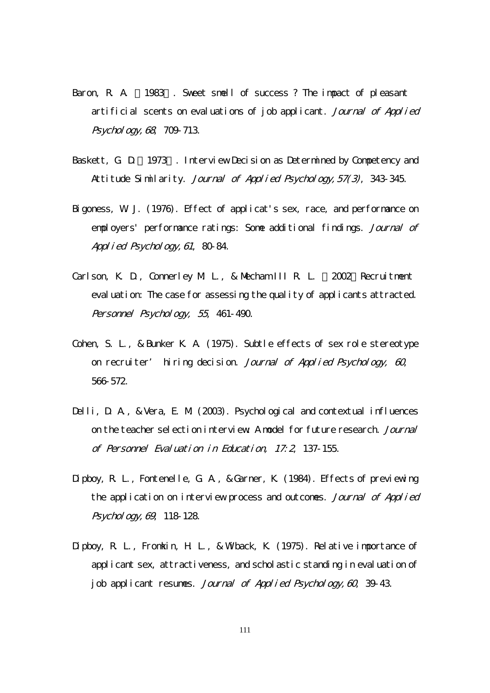- Baron, R. A. 1983. Sweet smell of success ? The impact of pleasant artificial scents on evaluations of job applicant. Journal of Applied Psychology, 68, 709-713.
- Baskett, G. D. 1973. Interview Decision as Determined by Competency and Attitude Similarity. Journal of Applied Psychology, 57(3), 343-345.
- Bigoness, W. J. (1976). Effect of applicat's sex, race, and performance on employers' performance ratings: Some additional findings. Journal of Appl i ed Psychology, 61, 80-84.
- Carlson, K. D., Connerley M. L., & Mecham III R. L. 2002 Recruitment eval uation: The case for assessing the quality of applicants attracted. Personnel Psychology, 55, 461-490.
- Cohen, S. L., & Bunker K. A. (1975). Subtle effects of sex role stereotype on recruiter' hiring decision. Journal of Applied Psychology, 60 566-572.
- Delli, D. A., & Vera, E. M. (2003). Psychological and contextual influences on the teacher selection interview: A model for future research. *Journal* of Personnel Evaluation in Education, 17:2, 137-155.
- Dipboy, R. L., Fontenelle, G. A., & Garner, K. (1984). Effects of previewing the application on interview process and outcomes. Journal of Applied Psychology, 69, 118-128.
- Dipboy, R. L., Fromkin, H. L., & Wiback, K. (1975). Relative importance of applicant sex, attractiveness, and scholastic standing in evaluation of job applicant resumes. Journal of Applied Psychology,  $6Q$  39-43.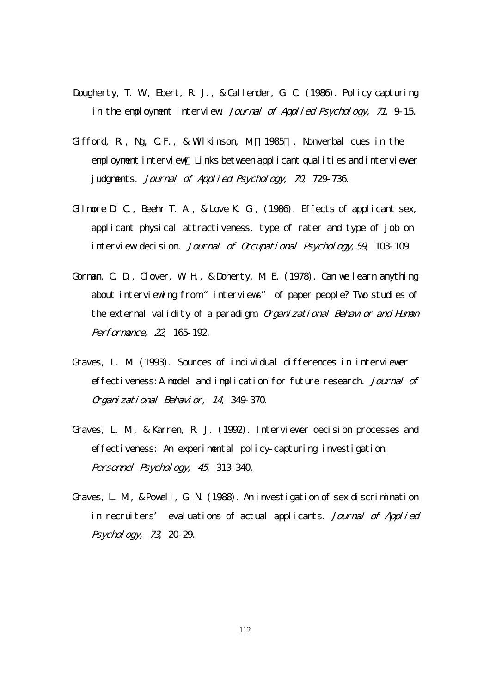- Dougherty, T. W., Ebert, R. J., & Callender, G. C. (1986). Policy capturing in the employment interview. Journal of Applied Psychology, 71, 9-15.
- Gifford, R., Ng, C.F., & Wilkinson, M.(1985). Nonverbal cues in the employment interview Links between applicant qualities and interviewer judgments. Journal of Applied Psychology, 70, 729-736.
- Gilmore D. C., Beehr T. A., & Love K. G., (1986). Effects of applicant sex, applicant physical attractiveness, type of rater and type of job on interview decision. Journal of Occupational Psychology, 59, 103-109.
- Gorman, C. D., Clover, W. H., & Doherty, M. E. (1978). Can we learn anything about interviewing from "interviews" of paper people? Two studies of the external validity of a paradigm. Organizational Behavior and Human Performance, 22, 165-192.
- Graves, L. M. (1993). Sources of individual differences in interviewer effectiveness: A model and implication for future research. Journal of Organizational Behavior, 14, 349-370.
- Graves, L. M., & Karren, R. J. (1992). Interviewer decision processes and effectiveness: An experimental policy-capturing investigation. Personnel Psychology, 45, 313-340.
- Graves, L. M., & Powell, G. N. (1988). An investigation of sex discrimination in recruiters' evaluations of actual applicants. Journal of Applied Psychology, 73, 20-29.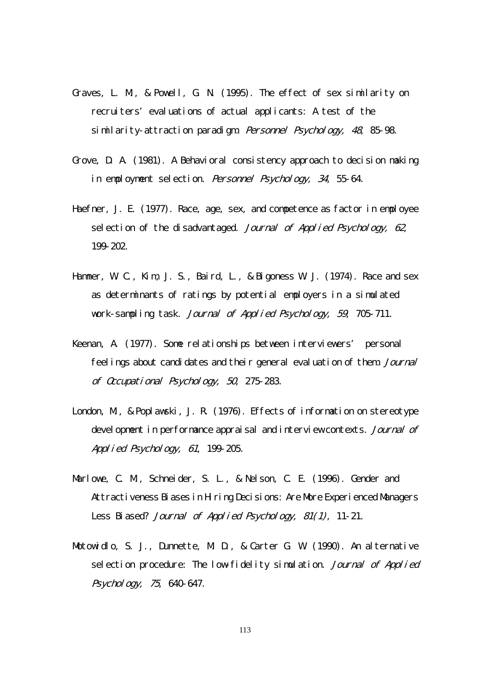- Graves, L. M., & Powell, G. N. (1995). The effect of sex similarity on recruiters' evaluations of actual applicants: A test of the similarity-attraction paradigm. Personnel Psychology, 48, 85-98.
- Grove, D. A. (1981). A Behavioral consistency approach to decision making in employment selection. Personnel Psychology, 34, 55-64.
- Haefner, J. E. (1977). Race, age, sex, and competence as factor in employee selection of the disadvantaged. Journal of Applied Psychology, 62 199-202.
- Hammer, W. C., Kim, J. S., Baird, L., & Bigoness W. J. (1974). Race and sex as determinants of ratings by potential employers in a simulated vork-sampling task. Journal of Applied Psychology, 59, 705-711.
- Keenan, A. (1977). Some relationships between interviewers' personal feelings about candidates and their general evaluation of them. Journal of Occupational Psychology, 50, 275-283.
- London, M. & Poplayski, J. R. (1976). Effects of information on stereotype devel opment in performance appraisal and interview contexts. Journal of Applied Psychology, 61, 199-205.
- Marlowe, C. M., Schneider, S. L., & Nelson, C. E. (1996). Gender and Attractiveness Biases in Hiring Decisions: Are More Experienced Managers Less Biased? Journal of Applied Psychology, 81(1), 11-21.
- Motowidlo, S. J., Dunnette, M. D., & Carter G. W. (1990). An alternative selection procedure: The low-fidelity simulation. Journal of Applied Psychology, 75, 640-647.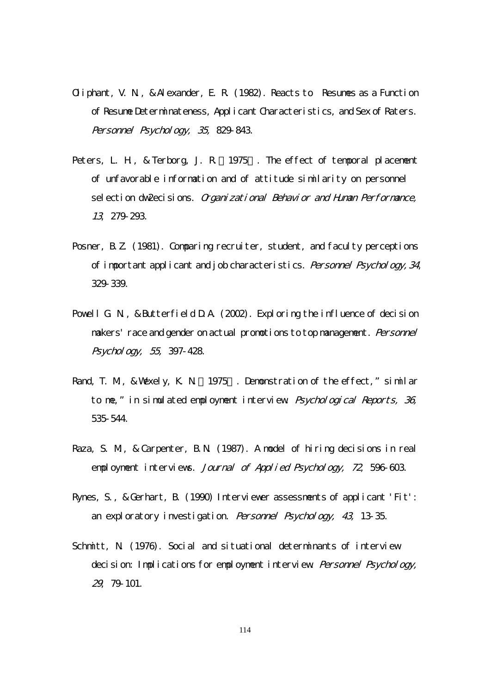- Oliphant, V. N., & Alexander, E. R. (1982). Reacts to Resumes as a Function of Resume Determinateness, Applicant Characteristics, and Sex of Raters. Personnel Psychology, 35, 829-843.
- Peters, L. H., & Terborg, J. R. 1975. The effect of temporal placement of unfavorable information and of attitude similarity on personnel sel ection dw2ecisions. Organizational Behavior and Human Performance, 13, 279-293.
- Posner, B.Z. (1981). Comparing recruiter, student, and faculty perceptions of important applicant and job characteristics. Personnel Psychology, 34, 329-339.
- Powell G. N., & Butterfield D.A. (2002). Exploring the influence of decision makers' race and gender on actual promotions to top management. Personnel Psychology, 55, 397-428.
- Rand, T. M., & Wexely, K. N 1975. Demonstration of the effect," similar to me," in simulated employment interview. Psychological Reports, 36, 535-544.
- Raza, S. M., & Carpenter, B.N. (1987). A model of hiring decisions in real employment interviews. Journal of Applied Psychology, 72, 596-603.
- Rynes, S., & Gerhart, B. (1990) Interviewer assessments of applicant 'Fit': an exploratory investigation. Personnel Psychology, 43, 13-35.
- Schmitt, N. (1976). Social and situational determinants of interview decision: Implications for employment interview. Personnel Psychology, 29, 79-101.